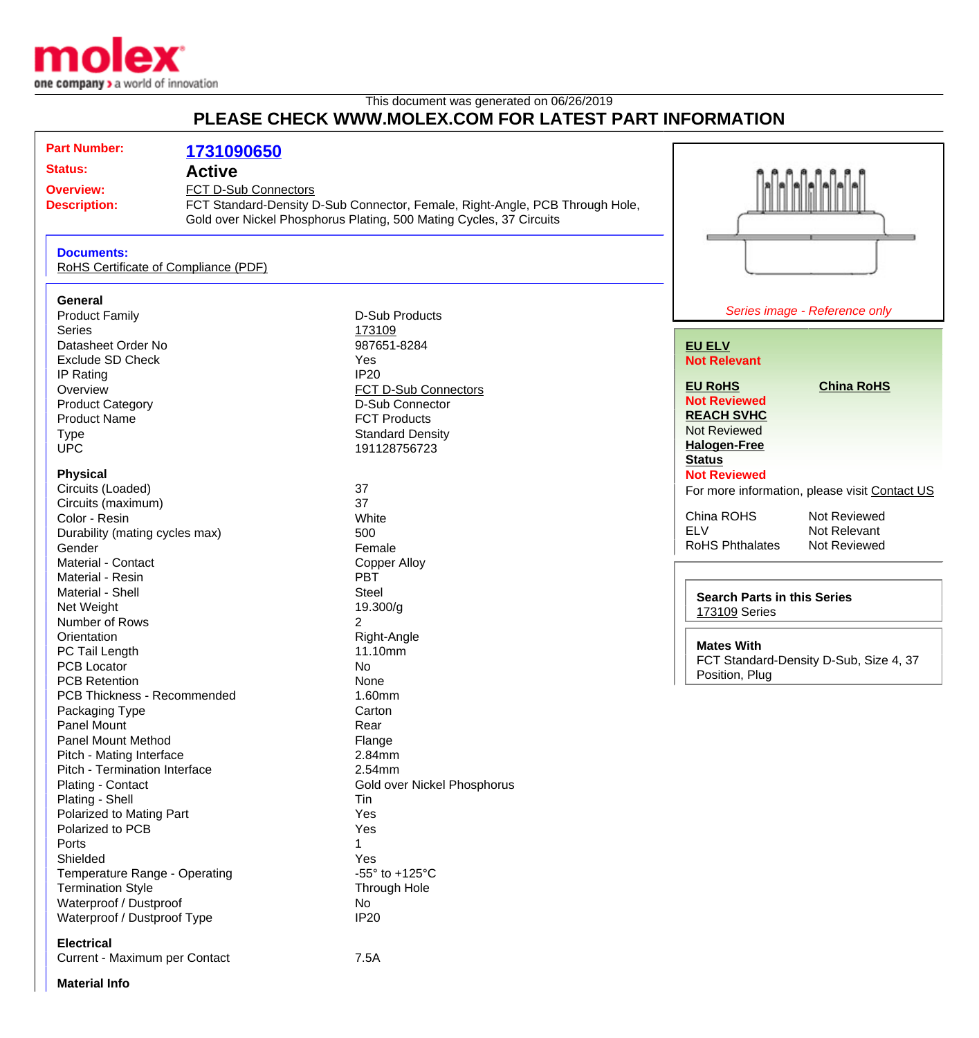

## This document was generated on 06/26/2019 **PLEASE CHECK WWW.MOLEX.COM FOR LATEST PART INFORMATION**

| <b>Part Number:</b>                                                         | 1731090650 |                                                                              |                                    |                                               |
|-----------------------------------------------------------------------------|------------|------------------------------------------------------------------------------|------------------------------------|-----------------------------------------------|
|                                                                             |            |                                                                              |                                    |                                               |
| <b>Status:</b><br><b>Active</b><br>FCT D-Sub Connectors<br><b>Overview:</b> |            |                                                                              |                                    |                                               |
|                                                                             |            |                                                                              |                                    |                                               |
| <b>Description:</b>                                                         |            | FCT Standard-Density D-Sub Connector, Female, Right-Angle, PCB Through Hole, |                                    |                                               |
|                                                                             |            | Gold over Nickel Phosphorus Plating, 500 Mating Cycles, 37 Circuits          |                                    |                                               |
| <b>Documents:</b><br>RoHS Certificate of Compliance (PDF)                   |            |                                                                              |                                    |                                               |
| General                                                                     |            |                                                                              |                                    |                                               |
| <b>Product Family</b>                                                       |            | <b>D-Sub Products</b>                                                        |                                    | Series image - Reference only                 |
| <b>Series</b>                                                               |            | 173109                                                                       |                                    |                                               |
| Datasheet Order No                                                          |            | 987651-8284                                                                  | <b>EU ELV</b>                      |                                               |
| <b>Exclude SD Check</b>                                                     |            | Yes                                                                          | <b>Not Relevant</b>                |                                               |
| IP Rating                                                                   |            | <b>IP20</b>                                                                  |                                    |                                               |
| Overview                                                                    |            | FCT D-Sub Connectors                                                         | <b>EU RoHS</b>                     | <b>China RoHS</b>                             |
| <b>Product Category</b>                                                     |            | D-Sub Connector                                                              | <b>Not Reviewed</b>                |                                               |
| <b>Product Name</b>                                                         |            | <b>FCT Products</b>                                                          | <b>REACH SVHC</b>                  |                                               |
| <b>Type</b>                                                                 |            | <b>Standard Density</b>                                                      | Not Reviewed                       |                                               |
| <b>UPC</b>                                                                  |            | 191128756723                                                                 | <b>Halogen-Free</b>                |                                               |
|                                                                             |            |                                                                              | <b>Status</b>                      |                                               |
| <b>Physical</b>                                                             |            |                                                                              | <b>Not Reviewed</b>                |                                               |
| Circuits (Loaded)                                                           |            | 37                                                                           |                                    | For more information, please visit Contact US |
| Circuits (maximum)                                                          |            | 37                                                                           |                                    |                                               |
| Color - Resin                                                               |            | White                                                                        | China ROHS                         | Not Reviewed                                  |
| Durability (mating cycles max)                                              |            | 500                                                                          | <b>ELV</b>                         | Not Relevant                                  |
| Gender                                                                      |            | Female                                                                       | <b>RoHS Phthalates</b>             | Not Reviewed                                  |
| Material - Contact                                                          |            | <b>Copper Alloy</b>                                                          |                                    |                                               |
| Material - Resin                                                            |            | <b>PBT</b>                                                                   |                                    |                                               |
| Material - Shell                                                            |            | <b>Steel</b>                                                                 | <b>Search Parts in this Series</b> |                                               |
| Net Weight                                                                  |            | 19.300/g                                                                     | <b>173109 Series</b>               |                                               |
| Number of Rows                                                              |            | $\overline{2}$                                                               |                                    |                                               |
| Orientation                                                                 |            | Right-Angle                                                                  | <b>Mates With</b>                  |                                               |
| PC Tail Length                                                              |            | 11.10mm                                                                      |                                    |                                               |
| <b>PCB Locator</b>                                                          |            | <b>No</b>                                                                    | Position, Plug                     | FCT Standard-Density D-Sub, Size 4, 37        |
| <b>PCB Retention</b>                                                        |            | None                                                                         |                                    |                                               |
| PCB Thickness - Recommended                                                 |            | 1.60mm                                                                       |                                    |                                               |
| Packaging Type                                                              |            | Carton                                                                       |                                    |                                               |
| Panel Mount                                                                 |            | Rear                                                                         |                                    |                                               |
| <b>Panel Mount Method</b>                                                   |            | Flange                                                                       |                                    |                                               |
| Pitch - Mating Interface                                                    |            | 2.84mm                                                                       |                                    |                                               |
| Pitch - Termination Interface                                               |            | 2.54mm                                                                       |                                    |                                               |
| Plating - Contact                                                           |            | Gold over Nickel Phosphorus                                                  |                                    |                                               |
| Plating - Shell                                                             |            | Tin                                                                          |                                    |                                               |
| Polarized to Mating Part                                                    |            | Yes                                                                          |                                    |                                               |
| Polarized to PCB                                                            |            | Yes                                                                          |                                    |                                               |
| Ports                                                                       |            | 1                                                                            |                                    |                                               |
| Shielded                                                                    |            | Yes                                                                          |                                    |                                               |
| Temperature Range - Operating                                               |            | -55 $\degree$ to +125 $\degree$ C                                            |                                    |                                               |
| <b>Termination Style</b>                                                    |            | Through Hole                                                                 |                                    |                                               |
| Waterproof / Dustproof                                                      |            | No                                                                           |                                    |                                               |
| Waterproof / Dustproof Type                                                 |            | IP <sub>20</sub>                                                             |                                    |                                               |
| <b>Electrical</b>                                                           |            |                                                                              |                                    |                                               |
| Current - Maximum per Contact                                               |            | 7.5A                                                                         |                                    |                                               |